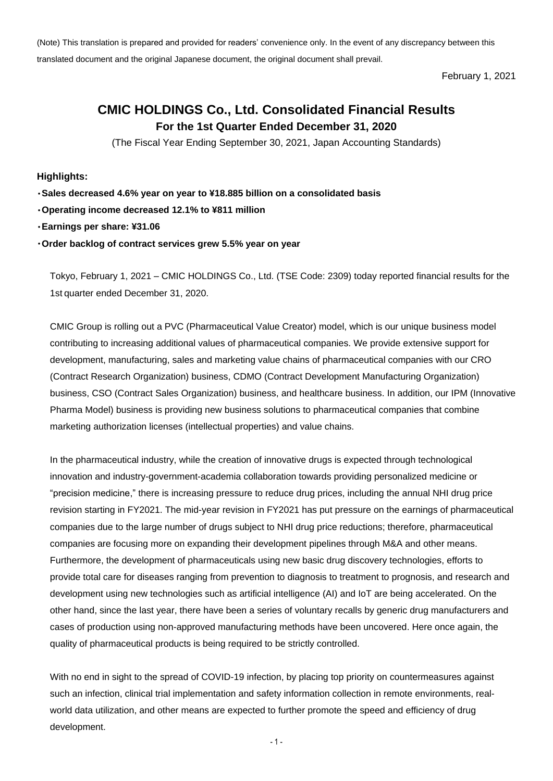(Note) This translation is prepared and provided for readers' convenience only. In the event of any discrepancy between this translated document and the original Japanese document, the original document shall prevail.

February 1, 2021

## **CMIC HOLDINGS Co., Ltd. Consolidated Financial Results For the 1st Quarter Ended December 31, 2020**

(The Fiscal Year Ending September 30, 2021, Japan Accounting Standards)

**Highlights:**

**Sales decreased 4.6% year on year to ¥18.885 billion on a consolidated basis**

**Operating income decreased 12.1% to ¥811 million**

**Earnings per share: ¥31.06**

**Order backlog of contract services grew 5.5% year on year**

Tokyo, February 1, 2021 – CMIC HOLDINGS Co., Ltd. (TSE Code: 2309) today reported financial results for the 1st quarter ended December 31, 2020.

CMIC Group is rolling out a PVC (Pharmaceutical Value Creator) model, which is our unique business model contributing to increasing additional values of pharmaceutical companies. We provide extensive support for development, manufacturing, sales and marketing value chains of pharmaceutical companies with our CRO (Contract Research Organization) business, CDMO (Contract Development Manufacturing Organization) business, CSO (Contract Sales Organization) business, and healthcare business. In addition, our IPM (Innovative Pharma Model) business is providing new business solutions to pharmaceutical companies that combine marketing authorization licenses (intellectual properties) and value chains.

In the pharmaceutical industry, while the creation of innovative drugs is expected through technological innovation and industry-government-academia collaboration towards providing personalized medicine or "precision medicine," there is increasing pressure to reduce drug prices, including the annual NHI drug price revision starting in FY2021. The mid-year revision in FY2021 has put pressure on the earnings of pharmaceutical companies due to the large number of drugs subject to NHI drug price reductions; therefore, pharmaceutical companies are focusing more on expanding their development pipelines through M&A and other means. Furthermore, the development of pharmaceuticals using new basic drug discovery technologies, efforts to provide total care for diseases ranging from prevention to diagnosis to treatment to prognosis, and research and development using new technologies such as artificial intelligence (AI) and IoT are being accelerated. On the other hand, since the last year, there have been a series of voluntary recalls by generic drug manufacturers and cases of production using non-approved manufacturing methods have been uncovered. Here once again, the quality of pharmaceutical products is being required to be strictly controlled.

With no end in sight to the spread of COVID-19 infection, by placing top priority on countermeasures against such an infection, clinical trial implementation and safety information collection in remote environments, realworld data utilization, and other means are expected to further promote the speed and efficiency of drug development.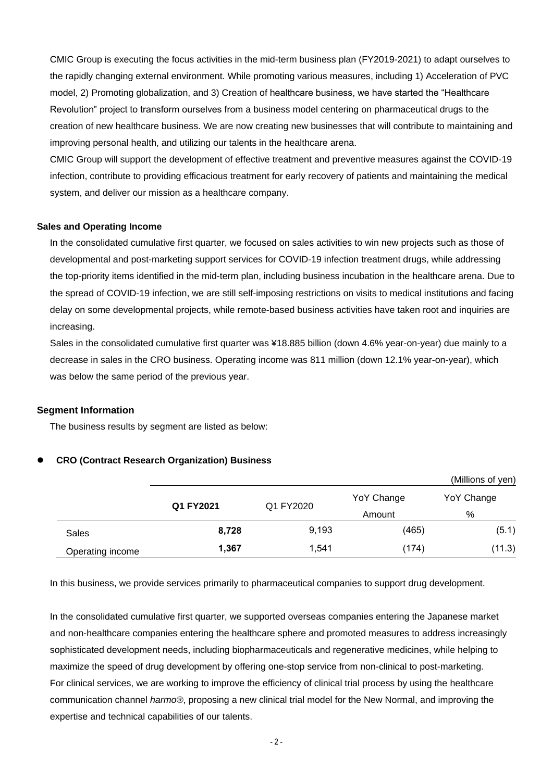CMIC Group is executing the focus activities in the mid-term business plan (FY2019-2021) to adapt ourselves to the rapidly changing external environment. While promoting various measures, including 1) Acceleration of PVC model, 2) Promoting globalization, and 3) Creation of healthcare business, we have started the "Healthcare Revolution" project to transform ourselves from a business model centering on pharmaceutical drugs to the creation of new healthcare business. We are now creating new businesses that will contribute to maintaining and improving personal health, and utilizing our talents in the healthcare arena.

CMIC Group will support the development of effective treatment and preventive measures against the COVID-19 infection, contribute to providing efficacious treatment for early recovery of patients and maintaining the medical system, and deliver our mission as a healthcare company.

#### **Sales and Operating Income**

In the consolidated cumulative first quarter, we focused on sales activities to win new projects such as those of developmental and post-marketing support services for COVID-19 infection treatment drugs, while addressing the top-priority items identified in the mid-term plan, including business incubation in the healthcare arena. Due to the spread of COVID-19 infection, we are still self-imposing restrictions on visits to medical institutions and facing delay on some developmental projects, while remote-based business activities have taken root and inquiries are increasing.

Sales in the consolidated cumulative first quarter was ¥18.885 billion (down 4.6% year-on-year) due mainly to a decrease in sales in the CRO business. Operating income was 811 million (down 12.1% year-on-year), which was below the same period of the previous year.

#### **Segment Information**

The business results by segment are listed as below:

#### **CRO (Contract Research Organization) Business**

|                  |           |                     |            | (Millions of yen) |
|------------------|-----------|---------------------|------------|-------------------|
|                  | Q1 FY2021 |                     | YoY Change | YoY Change        |
|                  |           | Q1 FY2020<br>Amount |            | %                 |
| Sales            | 8,728     | 9,193               | (465)      | (5.1)             |
| Operating income | 1,367     | 1,541               | (174)      | (11.3)            |

In this business, we provide services primarily to pharmaceutical companies to support drug development.

In the consolidated cumulative first quarter, we supported overseas companies entering the Japanese market and non-healthcare companies entering the healthcare sphere and promoted measures to address increasingly sophisticated development needs, including biopharmaceuticals and regenerative medicines, while helping to maximize the speed of drug development by offering one-stop service from non-clinical to post-marketing. For clinical services, we are working to improve the efficiency of clinical trial process by using the healthcare communication channel *harmo®*, proposing a new clinical trial model for the New Normal, and improving the expertise and technical capabilities of our talents.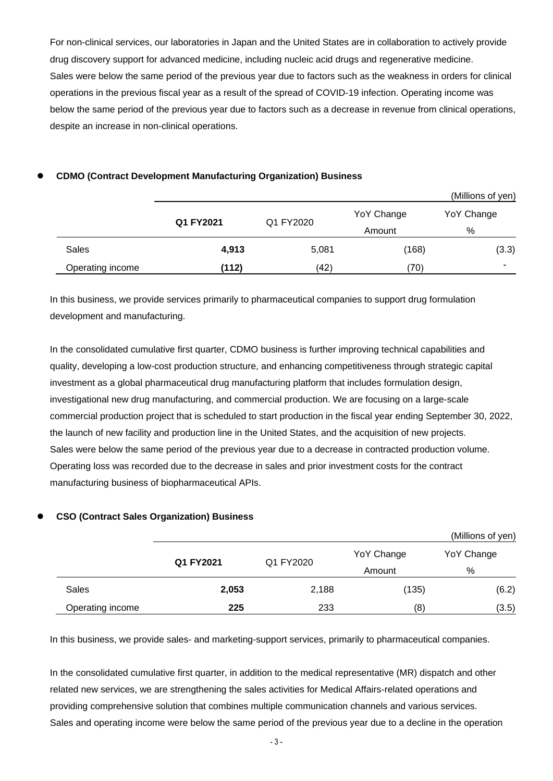For non-clinical services, our laboratories in Japan and the United States are in collaboration to actively provide drug discovery support for advanced medicine, including nucleic acid drugs and regenerative medicine. Sales were below the same period of the previous year due to factors such as the weakness in orders for clinical operations in the previous fiscal year as a result of the spread of COVID-19 infection. Operating income was below the same period of the previous year due to factors such as a decrease in revenue from clinical operations, despite an increase in non-clinical operations.

#### (Millions of yen) **Q1 FY2021** Q1 FY2020 YoY Change Amount YoY Change % Sales **4,913** 5,081 (168) (3.3) Operating income **(112)** (42) (70) -

#### **CDMO (Contract Development Manufacturing Organization) Business**

In this business, we provide services primarily to pharmaceutical companies to support drug formulation development and manufacturing.

In the consolidated cumulative first quarter, CDMO business is further improving technical capabilities and quality, developing a low-cost production structure, and enhancing competitiveness through strategic capital investment as a global pharmaceutical drug manufacturing platform that includes formulation design, investigational new drug manufacturing, and commercial production. We are focusing on a large-scale commercial production project that is scheduled to start production in the fiscal year ending September 30, 2022, the launch of new facility and production line in the United States, and the acquisition of new projects. Sales were below the same period of the previous year due to a decrease in contracted production volume. Operating loss was recorded due to the decrease in sales and prior investment costs for the contract manufacturing business of biopharmaceutical APIs.

# **CSO (Contract Sales Organization) Business**

|                  |           |           |            | (Millions of yen) |
|------------------|-----------|-----------|------------|-------------------|
|                  | Q1 FY2021 | Q1 FY2020 | YoY Change | YoY Change        |
|                  |           |           | Amount     | %                 |
| Sales            | 2,053     | 2,188     | (135)      | (6.2)             |
| Operating income | 225       | 233       | (8)        | (3.5)             |

In this business, we provide sales- and marketing-support services, primarily to pharmaceutical companies.

In the consolidated cumulative first quarter, in addition to the medical representative (MR) dispatch and other related new services, we are strengthening the sales activities for Medical Affairs-related operations and providing comprehensive solution that combines multiple communication channels and various services. Sales and operating income were below the same period of the previous year due to a decline in the operation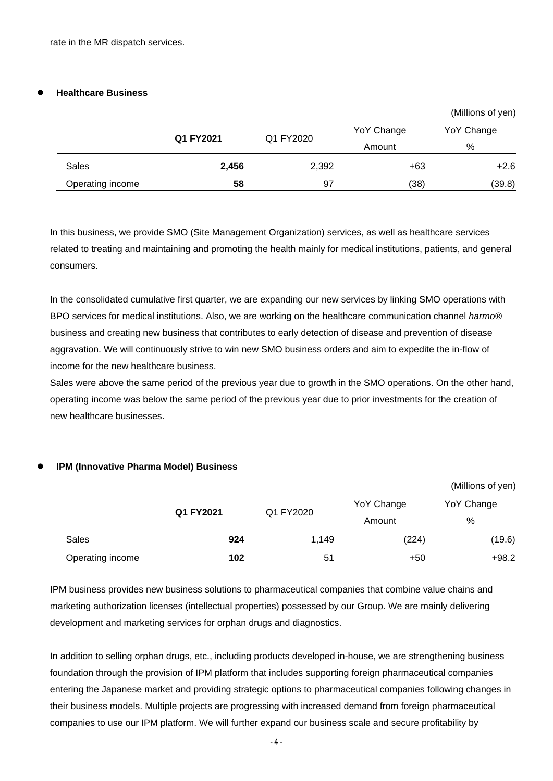#### **Healthcare Business**

|                  |           |           |            | (Millions of yen) |  |
|------------------|-----------|-----------|------------|-------------------|--|
|                  | Q1 FY2021 | Q1 FY2020 | YoY Change | YoY Change        |  |
|                  |           |           | Amount     | %                 |  |
| Sales            | 2,456     | 2,392     | $+63$      | $+2.6$            |  |
| Operating income | 58        | 97        | (38)       | (39.8)            |  |

In this business, we provide SMO (Site Management Organization) services, as well as healthcare services related to treating and maintaining and promoting the health mainly for medical institutions, patients, and general consumers.

In the consolidated cumulative first quarter, we are expanding our new services by linking SMO operations with BPO services for medical institutions. Also, we are working on the healthcare communication channel *harmo®* business and creating new business that contributes to early detection of disease and prevention of disease aggravation. We will continuously strive to win new SMO business orders and aim to expedite the in-flow of income for the new healthcare business.

Sales were above the same period of the previous year due to growth in the SMO operations. On the other hand, operating income was below the same period of the previous year due to prior investments for the creation of new healthcare businesses.

#### **IPM (Innovative Pharma Model) Business**

|                  |           |           |            | (Millions of yen) |
|------------------|-----------|-----------|------------|-------------------|
|                  | Q1 FY2021 | Q1 FY2020 | YoY Change | YoY Change        |
|                  |           |           | Amount     | %                 |
| <b>Sales</b>     | 924       | 1,149     | (224)      | (19.6)            |
| Operating income | 102       | 51        | $+50$      | $+98.2$           |

IPM business provides new business solutions to pharmaceutical companies that combine value chains and marketing authorization licenses (intellectual properties) possessed by our Group. We are mainly delivering development and marketing services for orphan drugs and diagnostics.

In addition to selling orphan drugs, etc., including products developed in-house, we are strengthening business foundation through the provision of IPM platform that includes supporting foreign pharmaceutical companies entering the Japanese market and providing strategic options to pharmaceutical companies following changes in their business models. Multiple projects are progressing with increased demand from foreign pharmaceutical companies to use our IPM platform. We will further expand our business scale and secure profitability by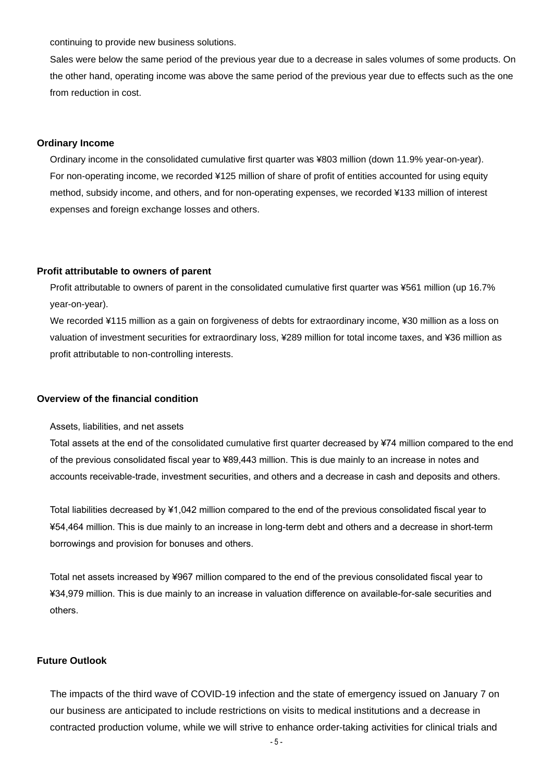continuing to provide new business solutions.

Sales were below the same period of the previous year due to a decrease in sales volumes of some products. On the other hand, operating income was above the same period of the previous year due to effects such as the one from reduction in cost.

#### **Ordinary Income**

Ordinary income in the consolidated cumulative first quarter was ¥803 million (down 11.9% year-on-year). For non-operating income, we recorded ¥125 million of share of profit of entities accounted for using equity method, subsidy income, and others, and for non-operating expenses, we recorded ¥133 million of interest expenses and foreign exchange losses and others.

#### **Profit attributable to owners of parent**

Profit attributable to owners of parent in the consolidated cumulative first quarter was ¥561 million (up 16.7% year-on-year).

We recorded ¥115 million as a gain on forgiveness of debts for extraordinary income, ¥30 million as a loss on valuation of investment securities for extraordinary loss, ¥289 million for total income taxes, and ¥36 million as profit attributable to non-controlling interests.

#### **Overview of the financial condition**

Assets, liabilities, and net assets

Total assets at the end of the consolidated cumulative first quarter decreased by ¥74 million compared to the end of the previous consolidated fiscal year to ¥89,443 million. This is due mainly to an increase in notes and accounts receivable-trade, investment securities, and others and a decrease in cash and deposits and others.

Total liabilities decreased by ¥1,042 million compared to the end of the previous consolidated fiscal year to ¥54,464 million. This is due mainly to an increase in long-term debt and others and a decrease in short-term borrowings and provision for bonuses and others.

Total net assets increased by ¥967 million compared to the end of the previous consolidated fiscal year to ¥34,979 million. This is due mainly to an increase in valuation difference on available-for-sale securities and others.

#### **Future Outlook**

The impacts of the third wave of COVID-19 infection and the state of emergency issued on January 7 on our business are anticipated to include restrictions on visits to medical institutions and a decrease in contracted production volume, while we will strive to enhance order-taking activities for clinical trials and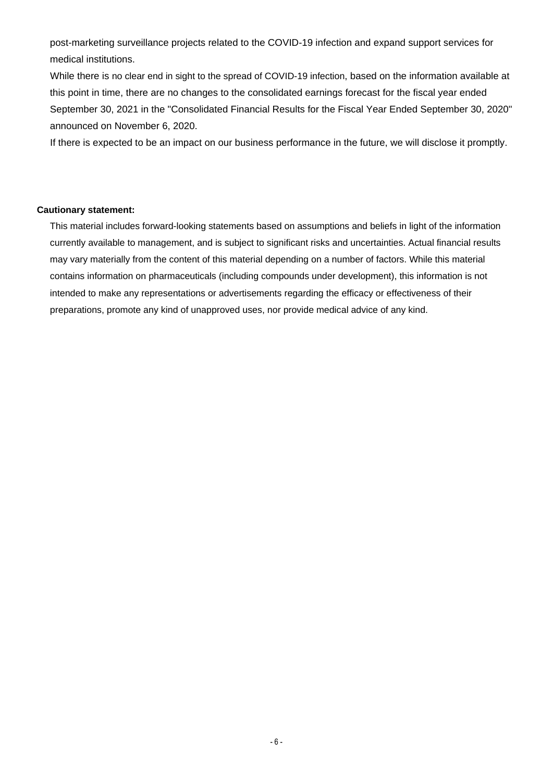post-marketing surveillance projects related to the COVID-19 infection and expand support services for medical institutions.

While there is no clear end in sight to the spread of COVID-19 infection, based on the information available at this point in time, there are no changes to the consolidated earnings forecast for the fiscal year ended September 30, 2021 in the "Consolidated Financial Results for the Fiscal Year Ended September 30, 2020" announced on November 6, 2020.

If there is expected to be an impact on our business performance in the future, we will disclose it promptly.

#### **Cautionary statement:**

This material includes forward-looking statements based on assumptions and beliefs in light of the information currently available to management, and is subject to significant risks and uncertainties. Actual financial results may vary materially from the content of this material depending on a number of factors. While this material contains information on pharmaceuticals (including compounds under development), this information is not intended to make any representations or advertisements regarding the efficacy or effectiveness of their preparations, promote any kind of unapproved uses, nor provide medical advice of any kind.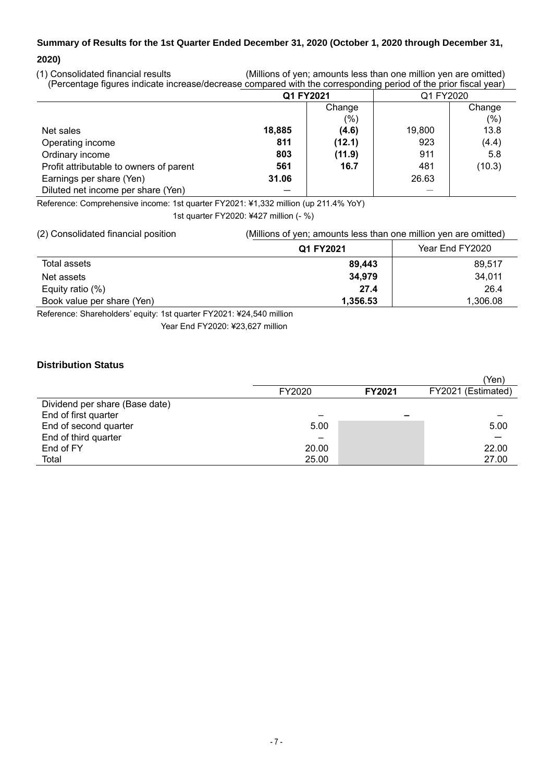# **Summary of Results for the 1st Quarter Ended December 31, 2020 (October 1, 2020 through December 31,**

### **2020)**

(1) Consolidated financial results (Millions of yen; amounts less than one million yen are omitted) (Percentage figures indicate increase/decrease compared with the corresponding period of the prior fiscal year)

| $\cdot$<br>.                            | Q1 FY2021 |        | .         |        |
|-----------------------------------------|-----------|--------|-----------|--------|
|                                         |           |        | Q1 FY2020 |        |
|                                         |           | Change |           | Change |
|                                         |           | $(\%)$ |           | (%)    |
| Net sales                               | 18,885    | (4.6)  | 19,800    | 13.8   |
| Operating income                        | 811       | (12.1) | 923       | (4.4)  |
| Ordinary income                         | 803       | (11.9) | 911       | 5.8    |
| Profit attributable to owners of parent | 561       | 16.7   | 481       | (10.3) |
| Earnings per share (Yen)                | 31.06     |        | 26.63     |        |
| Diluted net income per share (Yen)      |           |        |           |        |

Reference: Comprehensive income: 1st quarter FY2021: ¥1,332 million (up 211.4% YoY)

1st quarter FY2020: ¥427 million (- %)

| (2) Consolidated financial position | (Millions of yen; amounts less than one million yen are omitted) |                 |  |
|-------------------------------------|------------------------------------------------------------------|-----------------|--|
|                                     | Q1 FY2021                                                        | Year End FY2020 |  |
| Total assets                        | 89.443                                                           | 89.517          |  |
| Net assets                          | 34,979                                                           | 34,011          |  |
| Equity ratio $(\%)$                 | 27.4                                                             | 26.4            |  |
| Book value per share (Yen)          | 1,356.53                                                         | 1,306.08        |  |

Reference: Shareholders' equity: 1st quarter FY2021: ¥24,540 million

Year End FY2020: ¥23,627 million

## **Distribution Status**

|                                |        |               | (Yen)              |
|--------------------------------|--------|---------------|--------------------|
|                                | FY2020 | <b>FY2021</b> | FY2021 (Estimated) |
| Dividend per share (Base date) |        |               |                    |
| End of first quarter           |        |               |                    |
| End of second quarter          | 5.00   |               | 5.00               |
| End of third quarter           | -      |               |                    |
| End of FY                      | 20.00  |               | 22.00              |
| Total                          | 25.00  |               | 27.00              |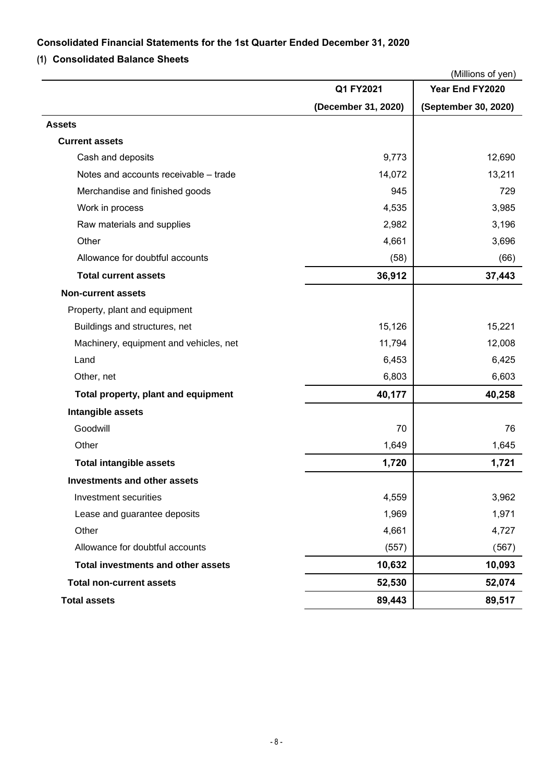## **Consolidated Financial Statements for the 1st Quarter Ended December 31, 2020**

## **(1) Consolidated Balance Sheets**

|                                           |                     | (Millions of yen)    |
|-------------------------------------------|---------------------|----------------------|
|                                           | Q1 FY2021           | Year End FY2020      |
|                                           | (December 31, 2020) | (September 30, 2020) |
| <b>Assets</b>                             |                     |                      |
| <b>Current assets</b>                     |                     |                      |
| Cash and deposits                         | 9,773               | 12,690               |
| Notes and accounts receivable - trade     | 14,072              | 13,211               |
| Merchandise and finished goods            | 945                 | 729                  |
| Work in process                           | 4,535               | 3,985                |
| Raw materials and supplies                | 2,982               | 3,196                |
| Other                                     | 4,661               | 3,696                |
| Allowance for doubtful accounts           | (58)                | (66)                 |
| <b>Total current assets</b>               | 36,912              | 37,443               |
| <b>Non-current assets</b>                 |                     |                      |
| Property, plant and equipment             |                     |                      |
| Buildings and structures, net             | 15,126              | 15,221               |
| Machinery, equipment and vehicles, net    | 11,794              | 12,008               |
| Land                                      | 6,453               | 6,425                |
| Other, net                                | 6,803               | 6,603                |
| Total property, plant and equipment       | 40,177              | 40,258               |
| Intangible assets                         |                     |                      |
| Goodwill                                  | 70                  | 76                   |
| Other                                     | 1,649               | 1,645                |
| <b>Total intangible assets</b>            | 1,720               | 1,721                |
| <b>Investments and other assets</b>       |                     |                      |
| Investment securities                     | 4,559               | 3,962                |
| Lease and guarantee deposits              | 1,969               | 1,971                |
| Other                                     | 4,661               | 4,727                |
| Allowance for doubtful accounts           | (557)               | (567)                |
| <b>Total investments and other assets</b> | 10,632              | 10,093               |
| <b>Total non-current assets</b>           | 52,530              | 52,074               |
| <b>Total assets</b>                       | 89,443              | 89,517               |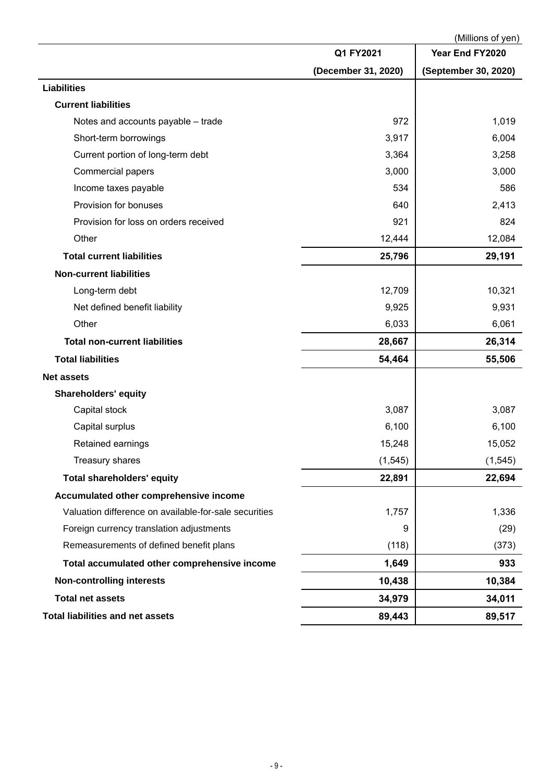|                                                       |                     | (Millions of yen)    |
|-------------------------------------------------------|---------------------|----------------------|
|                                                       | Q1 FY2021           | Year End FY2020      |
|                                                       | (December 31, 2020) | (September 30, 2020) |
| <b>Liabilities</b>                                    |                     |                      |
| <b>Current liabilities</b>                            |                     |                      |
| Notes and accounts payable - trade                    | 972                 | 1,019                |
| Short-term borrowings                                 | 3,917               | 6,004                |
| Current portion of long-term debt                     | 3,364               | 3,258                |
| Commercial papers                                     | 3,000               | 3,000                |
| Income taxes payable                                  | 534                 | 586                  |
| Provision for bonuses                                 | 640                 | 2,413                |
| Provision for loss on orders received                 | 921                 | 824                  |
| Other                                                 | 12,444              | 12,084               |
| <b>Total current liabilities</b>                      | 25,796              | 29,191               |
| <b>Non-current liabilities</b>                        |                     |                      |
| Long-term debt                                        | 12,709              | 10,321               |
| Net defined benefit liability                         | 9,925               | 9,931                |
| Other                                                 | 6,033               | 6,061                |
| <b>Total non-current liabilities</b>                  | 28,667              | 26,314               |
| <b>Total liabilities</b>                              | 54,464              | 55,506               |
| <b>Net assets</b>                                     |                     |                      |
| <b>Shareholders' equity</b>                           |                     |                      |
| Capital stock                                         | 3,087               | 3,087                |
| Capital surplus                                       | 6,100               | 6,100                |
| Retained earnings                                     | 15,248              | 15,052               |
| Treasury shares                                       | (1, 545)            | (1, 545)             |
| <b>Total shareholders' equity</b>                     | 22,891              | 22,694               |
| Accumulated other comprehensive income                |                     |                      |
| Valuation difference on available-for-sale securities | 1,757               | 1,336                |
| Foreign currency translation adjustments              | 9                   | (29)                 |
| Remeasurements of defined benefit plans               | (118)               | (373)                |
| Total accumulated other comprehensive income          | 1,649               | 933                  |
| <b>Non-controlling interests</b>                      | 10,438              | 10,384               |
| <b>Total net assets</b>                               | 34,979              | 34,011               |
| <b>Total liabilities and net assets</b>               | 89,443              | 89,517               |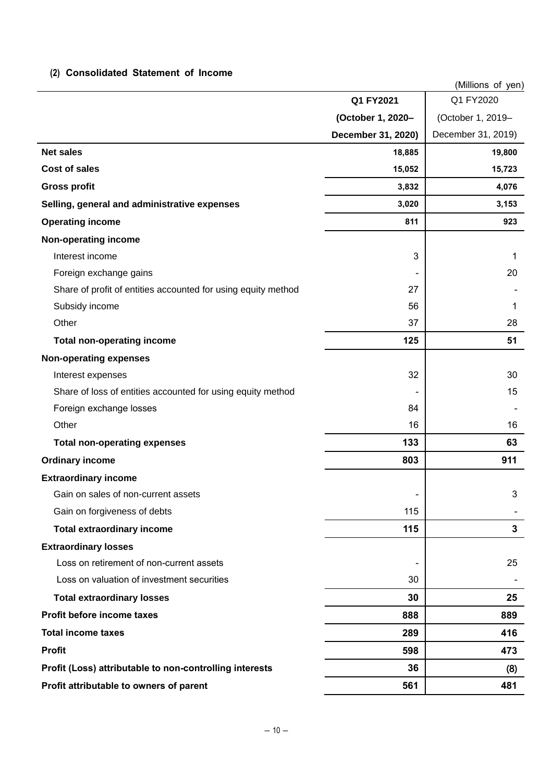## **(2) Consolidated Statement of Income**

|                                                               |                          | (Millions of yen)         |
|---------------------------------------------------------------|--------------------------|---------------------------|
|                                                               | Q1 FY2021                | Q1 FY2020                 |
|                                                               | (October 1, 2020-        | (October 1, 2019-         |
|                                                               | December 31, 2020)       | December 31, 2019)        |
| <b>Net sales</b>                                              | 18,885                   | 19,800                    |
| <b>Cost of sales</b>                                          | 15,052                   | 15,723                    |
| <b>Gross profit</b>                                           | 3,832                    | 4,076                     |
| Selling, general and administrative expenses                  | 3,020                    | 3,153                     |
| <b>Operating income</b>                                       | 811                      | 923                       |
| Non-operating income                                          |                          |                           |
| Interest income                                               | 3                        | 1                         |
| Foreign exchange gains                                        |                          | 20                        |
| Share of profit of entities accounted for using equity method | 27                       |                           |
| Subsidy income                                                | 56                       | 1                         |
| Other                                                         | 37                       | 28                        |
| <b>Total non-operating income</b>                             | 125                      | 51                        |
| <b>Non-operating expenses</b>                                 |                          |                           |
| Interest expenses                                             | 32                       | 30                        |
| Share of loss of entities accounted for using equity method   |                          | 15                        |
| Foreign exchange losses                                       | 84                       |                           |
| Other                                                         | 16                       | 16                        |
| <b>Total non-operating expenses</b>                           | 133                      | 63                        |
| <b>Ordinary income</b>                                        | 803                      | 911                       |
| <b>Extraordinary income</b>                                   |                          |                           |
| Gain on sales of non-current assets                           | $\overline{\phantom{0}}$ | $\ensuremath{\mathsf{3}}$ |
| Gain on forgiveness of debts                                  | 115                      |                           |
| <b>Total extraordinary income</b>                             | 115                      | $\mathbf{3}$              |
| <b>Extraordinary losses</b>                                   |                          |                           |
| Loss on retirement of non-current assets                      | -                        | 25                        |
| Loss on valuation of investment securities                    | 30                       |                           |
| <b>Total extraordinary losses</b>                             | 30                       | 25                        |
| Profit before income taxes                                    | 888                      | 889                       |
| <b>Total income taxes</b>                                     | 289                      | 416                       |
| <b>Profit</b>                                                 | 598                      | 473                       |
| Profit (Loss) attributable to non-controlling interests       | 36                       | (8)                       |
| Profit attributable to owners of parent                       | 561                      | 481                       |